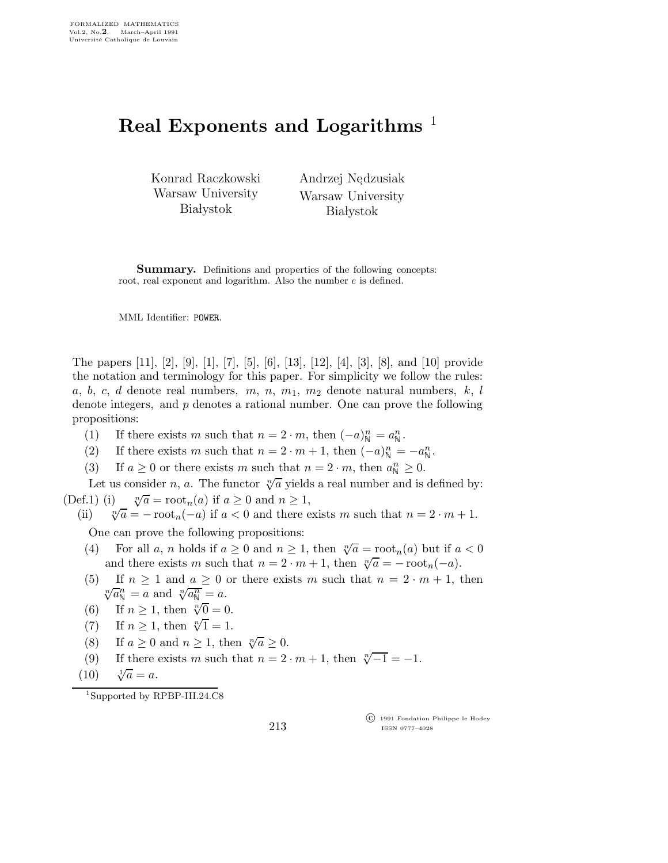## Real Exponents and Logarithms  $\frac{1}{2}$

Konrad Raczkowski Warsaw University **Białystok** 

Andrzej Nędzusiak<br>---Warsaw University **Białystok** 

**Summary.** Definitions and properties of the following concepts: root, real exponent and logarithm. Also the number  $e$  is defined.

MML Identifier: POWER.

The papers [11], [2], [9], [1], [7], [5], [6], [13], [12], [4], [3], [8], and [10] provide the notation and terminology for this paper. For simplicity we follow the rules: a, b, c, d denote real numbers,  $m, n, m_1, m_2$  denote natural numbers, k, l denote integers, and  $p$  denotes a rational number. One can prove the following propositions:

- (1) If there exists m such that  $n = 2 \cdot m$ , then  $(-a)_{\mathbb{N}}^n = a_{\mathbb{N}}^n$ .
- (2) If there exists m such that  $n = 2 \cdot m + 1$ , then  $(-a)_{\mathbb{N}}^n = -a_{\mathbb{N}}^n$ .
- (3) If  $a \ge 0$  or there exists m such that  $n = 2 \cdot m$ , then  $a_{\mathbb{N}}^n \ge 0$ .

Let us consider n, a. The functor  $\sqrt[n]{a}$  yields a real number and is defined by: (Def.1) (i)  $\sqrt[n]{a} = \text{root}_n(a)$  if  $a \ge 0$  and  $n \ge 1$ ,<br>(ii)  $\sqrt[n]{a} = -\text{root}_n(-a)$  if  $a < 0$  and there e

 $\sqrt[n]{a} = -\text{root}_n(-a)$  if  $a < 0$  and there exists m such that  $n = 2 \cdot m + 1$ .

One can prove the following propositions:

- (4) For all a, n holds if  $a \geq 0$  and  $n \geq 1$ , then  $\sqrt[n]{a} = \text{root}_n(a)$  but if  $a < 0$ and there exists m such that  $n = 2 \cdot m + 1$ , then  $\sqrt[n]{a} = -\text{root}_n(-a)$ .
- (5) If  $n \geq 1$  and  $a \geq 0$  or there exists m such that  $n = 2 \cdot m + 1$ , then  $\sqrt[n]{a_{\mathbb{N}}^n} = \overline{a}$  and  $\sqrt[n]{a_{\mathbb{N}}^n} = a$ .
- (6) If  $n \geq 1$ , then  $\sqrt[n]{0} = 0$ .
- (7) If  $n \geq 1$ , then  $\sqrt[n]{1} = 1$ .
- (8) If  $a \ge 0$  and  $n \ge 1$ , then  $\sqrt[n]{a} \ge 0$ .<br>(9) If there exists m such that  $n = 2$
- If there exists m such that  $n = 2 \cdot m + 1$ , then  $\sqrt[n]{-1} = -1$ .

$$
(10) \qquad \sqrt[1]{a} = a.
$$

<sup>1</sup>Supported by RPBP-III.24.C8

213

 c 1991 Fondation Philippe le Hodey ISSN 0777–4028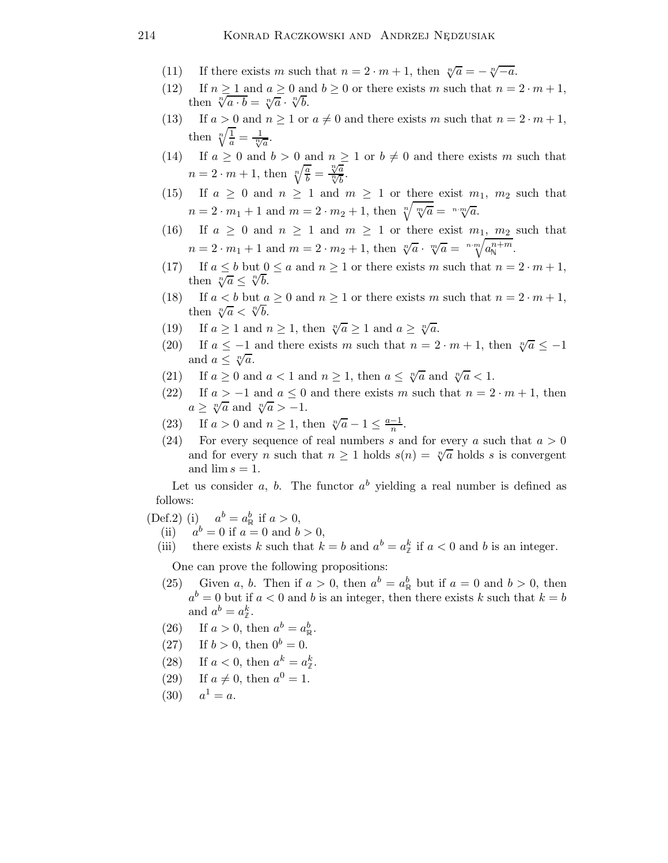- (11) If there exists m such that  $n = 2 \cdot m + 1$ , then  $\sqrt[n]{a} = -\sqrt[n]{-a}$ .
- (12) If  $n \ge 1$  and  $a \ge 0$  and  $b \ge 0$  or there exists m such that  $n = 2 \cdot m + 1$ , then  $\sqrt[n]{a \cdot b} = \sqrt[n]{a} \cdot \sqrt[n]{b}$ .
- (13) If  $a > 0$  and  $n \ge 1$  or  $a \ne 0$  and there exists m such that  $n = 2 \cdot m + 1$ , then  $\sqrt[n]{\frac{1}{a}} = \frac{1}{\sqrt[n]{a}}$ .
- (14) If  $a \geq 0$  and  $b > 0$  and  $n \geq 1$  or  $b \neq 0$  and there exists m such that  $n=2 \cdot m+1$ , then  $\sqrt[n]{\frac{a}{b}} = \frac{\sqrt[n]{a}}{\sqrt[n]{b}}$  $\sqrt[n]{b}$ .
- (15) If  $a \geq 0$  and  $n \geq 1$  and  $m \geq 1$  or there exist  $m_1, m_2$  such that  $n = 2 \cdot m_1 + 1$  and  $m = 2 \cdot m_2 + 1$ , then  $\sqrt[n]{\sqrt[m]{a}} = \sqrt[n-m]{a}$ .
- (16) If  $a \ge 0$  and  $n \ge 1$  and  $m \ge 1$  or there exist  $m_1, m_2$  such that  $n = 2 \cdot m_1 + 1$  and  $m = 2 \cdot m_2 + 1$ , then  $\sqrt[n]{a} \cdot \sqrt[m]{a} = \sqrt[n+m]{a_N^{n+m}}$ .
- (17) If  $a \leq b$  but  $0 \leq a$  and  $n \geq 1$  or there exists m such that  $n = 2 \cdot m + 1$ , then  $\sqrt[n]{a} \leq \sqrt[n]{b}$ .
- (18) If  $a < b$  but  $a \ge 0$  and  $n \ge 1$  or there exists m such that  $n = 2 \cdot m + 1$ , then  $\sqrt[n]{a} < \sqrt[n]{b}$ .
- (19) If  $a \ge 1$  and  $n \ge 1$ , then  $\sqrt[n]{a} \ge 1$  and  $a \ge \sqrt[n]{a}$ .
- (20) If  $a \leq -1$  and there exists m such that  $n = 2 \cdot m + 1$ , then  $\sqrt[n]{a} \leq -1$ and  $a \leq \sqrt[n]{a}$ .
- (21) If  $a \ge 0$  and  $a < 1$  and  $n \ge 1$ , then  $a \le \sqrt[n]{a}$  and  $\sqrt[n]{a} < 1$ .
- (22) If  $a > -1$  and  $a \leq 0$  and there exists m such that  $n = 2 \cdot m + 1$ , then  $a \geq \sqrt[n]{a}$  and  $\sqrt[n]{a} > -1$ .
- (23) If  $a > 0$  and  $n \ge 1$ , then  $\sqrt[n]{a} 1 \le \frac{a-1}{n}$ .
- (24) For every sequence of real numbers s and for every a such that  $a > 0$ and for every n such that  $n \geq 1$  holds  $s(n) = \sqrt[n]{a}$  holds s is convergent and  $\lim s = 1$ .

Let us consider a, b. The functor  $a^b$  yielding a real number is defined as follows:

(Def.2) (i)  $a^b = a_{\mathbb{R}}^b$  if  $a > 0$ ,

 $(ii)$  $a^b = 0$  if  $a = 0$  and  $b > 0$ ,

(iii) there exists k such that  $k = b$  and  $a^b = a_{\overline{\ell}}^k$  if  $a < 0$  and b is an integer.

One can prove the following propositions:

- (25) Given a, b. Then if  $a > 0$ , then  $a^b = a_{\mathbb{R}}^b$  but if  $a = 0$  and  $b > 0$ , then  $a^b = 0$  but if  $a < 0$  and b is an integer, then there exists k such that  $k = b$ and  $a^b = a_{\mathbb{Z}}^k$ .
- (26) If  $a > 0$ , then  $a^b = a_{\mathbb{R}}^b$ .
- (27) If  $b > 0$ , then  $0^b = 0$ .
- (28) If  $a < 0$ , then  $a^k = a_{\ell}^k$ .
- (29) If  $a \neq 0$ , then  $a^0 = 1$ .
- $(30)$  $a^1 = a$ .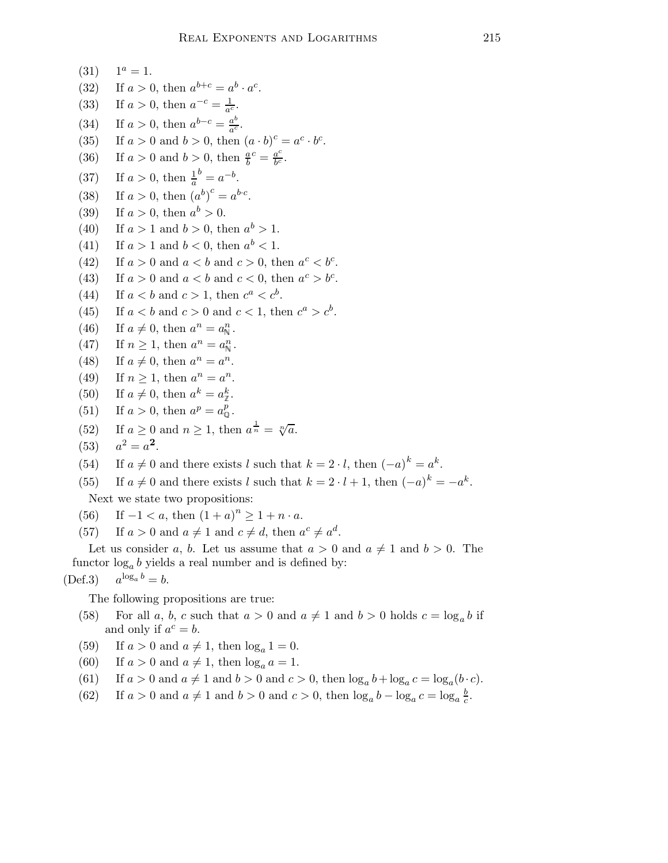\n- (31) 
$$
1^a = 1
$$
.
\n- (32) If  $a > 0$ , then  $a^{b+c} = a^b \cdot a^c$ .
\n- (33) If  $a > 0$ , then  $a^{-c} = \frac{1}{a^c}$ .
\n- (34) If  $a > 0$ , then  $a^{b-c} = \frac{a^b}{a^c}$ .
\n- (35) If  $a > 0$  and  $b > 0$ , then  $(a \cdot b)^c = a^c \cdot b^c$ .
\n- (36) If  $a > 0$  and  $b > 0$ , then  $\frac{a}{b} = \frac{a^b}{b^c}$ .
\n- (37) If  $a > 0$ , then  $(a^b)^c = a^{b \cdot c}$ .
\n- (38) If  $a > 0$ , then  $(a^b)^c = a^{b \cdot c}$ .
\n- (39) If  $a > 0$ , then  $a^b > 1$ .
\n- (40) If  $a > 1$  and  $b < 0$ , then  $a^b < 1$ .
\n- (42) If  $a > 0$  and  $a < b$  and  $c > 0$ , then  $a^c < b^c$ .
\n- (43) If  $a < b$  and  $a < b$  and  $c < 0$ , then  $a^c < b^c$ .
\n- (44) If  $a < b$  and  $a < b$  and  $a < 1$ , then  $c^a > c^b$ .
\n- (45) If  $a \neq 0$ , then  $a^n = a_0^n$ .
\n- (46) If  $$

The following propositions are true:

- (58) For all a, b, c such that  $a > 0$  and  $a \neq 1$  and  $b > 0$  holds  $c = \log_a b$  if and only if  $a^c = b$ .
- (59) If  $a > 0$  and  $a \neq 1$ , then  $\log_a 1 = 0$ .<br>(60) If  $a > 0$  and  $a \neq 1$ , then  $\log_a a = 1$ .
- If  $a > 0$  and  $a \neq 1$ , then  $\log_a a = 1$ .
- (61) If  $a > 0$  and  $a \neq 1$  and  $b > 0$  and  $c > 0$ , then  $\log_a b + \log_a c = \log_a (b \cdot c)$ .
- (62) If  $a > 0$  and  $a \neq 1$  and  $b > 0$  and  $c > 0$ , then  $\log_a b \log_a c = \log_a \frac{b}{c}$  $\frac{b}{c}$ .

 $k = a^k$ .